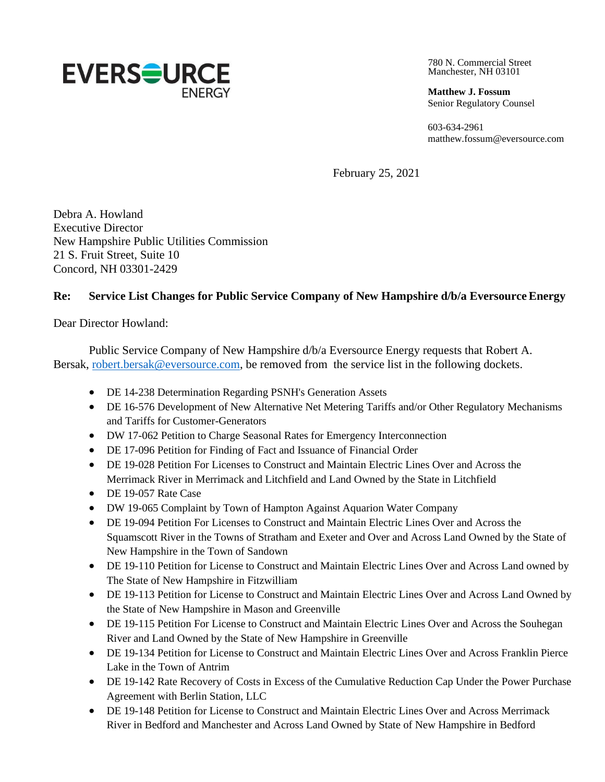

780 N. Commercial Street Manchester, NH 03101

**Matthew J. Fossum** Senior Regulatory Counsel

603-634-2961 [matthew.fossum@eversource.com](mailto:matthew.fossum@eversource.com)

February 25, 2021

Debra A. Howland Executive Director New Hampshire Public Utilities Commission 21 S. Fruit Street, Suite 10 Concord, NH 03301-2429

## Re: Service List Changes for Public Service Company of New Hampshire d/b/a Eversource Energy

Dear Director Howland:

Public Service Company of New Hampshire d/b/a Eversource Energy requests that Robert A. Bersak, [robert.bersak@eversource.com,](mailto:robert.bersak@eversource.com) be removed from the service list in the following dockets.

- DE 14-238 Determination Regarding PSNH's Generation Assets
- DE 16-576 Development of New Alternative Net Metering Tariffs and/or Other Regulatory Mechanisms and Tariffs for Customer-Generators
- DW 17-062 Petition to Charge Seasonal Rates for Emergency Interconnection
- DE 17-096 Petition for Finding of Fact and Issuance of Financial Order
- DE 19-028 Petition For Licenses to Construct and Maintain Electric Lines Over and Across the Merrimack River in Merrimack and Litchfield and Land Owned by the State in Litchfield
- DE 19-057 Rate Case
- DW 19-065 Complaint by Town of Hampton Against Aquarion Water Company
- DE 19-094 Petition For Licenses to Construct and Maintain Electric Lines Over and Across the Squamscott River in the Towns of Stratham and Exeter and Over and Across Land Owned by the State of New Hampshire in the Town of Sandown
- DE 19-110 Petition for License to Construct and Maintain Electric Lines Over and Across Land owned by The State of New Hampshire in Fitzwilliam
- DE 19-113 Petition for License to Construct and Maintain Electric Lines Over and Across Land Owned by the State of New Hampshire in Mason and Greenville
- DE 19-115 Petition For License to Construct and Maintain Electric Lines Over and Across the Souhegan River and Land Owned by the State of New Hampshire in Greenville
- DE 19-134 Petition for License to Construct and Maintain Electric Lines Over and Across Franklin Pierce Lake in the Town of Antrim
- DE 19-142 Rate Recovery of Costs in Excess of the Cumulative Reduction Cap Under the Power Purchase Agreement with Berlin Station, LLC
- DE 19-148 Petition for License to Construct and Maintain Electric Lines Over and Across Merrimack River in Bedford and Manchester and Across Land Owned by State of New Hampshire in Bedford